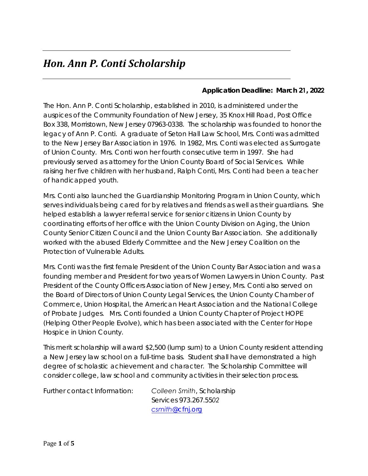# *Hon. Ann P. Conti Scholarship*

## **Application Deadline: March 21, 2022**

The Hon. Ann P. Conti Scholarship, established in 2010, is administered under the auspices of the Community Foundation of New Jersey, 35 Knox Hill Road, Post Office Box 338, Morristown, New Jersey 07963-0338. The scholarship was founded to honor the legacy of Ann P. Conti. A graduate of Seton Hall Law School, Mrs. Conti was admitted to the New Jersey Bar Association in 1976. In 1982, Mrs. Conti was elected as Surrogate of Union County. Mrs. Conti won her fourth consecutive term in 1997. She had previously served as attorney for the Union County Board of Social Services. While raising her five children with her husband, Ralph Conti, Mrs. Conti had been a teacher of handicapped youth.

Mrs. Conti also launched the Guardianship Monitoring Program in Union County, which serves individuals being cared for by relatives and friends as well as their guardians. She helped establish a lawyer referral service for senior citizens in Union County by coordinating efforts of her office with the Union County Division on Aging, the Union County Senior Citizen Council and the Union County Bar Association. She additionally worked with the abused Elderly Committee and the New Jersey Coalition on the Protection of Vulnerable Adults.

Mrs. Conti was the first female President of the Union County Bar Association and was a founding member and President for two years of Women Lawyers in Union County. Past President of the County Officers Association of New Jersey, Mrs. Conti also served on the Board of Directors of Union County Legal Services, the Union County Chamber of Commerce, Union Hospital, the American Heart Association and the National College of Probate Judges. Mrs. Conti founded a Union County Chapter of Project HOPE (Helping Other People Evolve), which has been associated with the Center for Hope Hospice in Union County.

This merit scholarship will award \$2,500 (lump sum) to a Union County resident attending a New Jersey law school on a full-time basis. Student shall have demonstrated a high degree of scholastic achievement and character. The Scholarship Committee will consider college, law school and community activities in their selection process.

*Further contact Information: Colleen Smith, Scholarship* 

*Services 973.267.5502 csmith[@cfnj.org](mailto:fkrueger@cfnj.org)*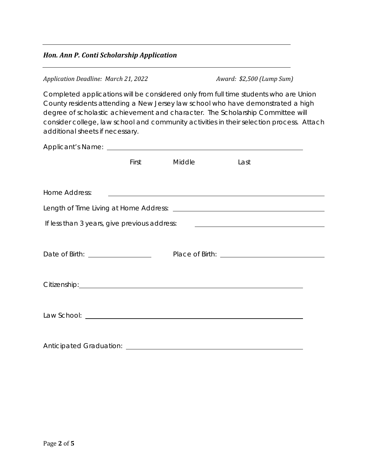### *Hon. Ann P. Conti Scholarship Application*

#### *Application Deadline: March 21, 2022 Award: \$2,500 (Lump Sum)*

Completed applications will be considered only from full time students who are Union County residents attending a New Jersey law school who have demonstrated a high degree of scholastic achievement and character. The Scholarship Committee will consider college, law school and community activities in their selection process. Attach additional sheets if necessary.

|                                                                                                                                                                                                                                | First | Middle                                                         | Last                                                                                                                 |  |
|--------------------------------------------------------------------------------------------------------------------------------------------------------------------------------------------------------------------------------|-------|----------------------------------------------------------------|----------------------------------------------------------------------------------------------------------------------|--|
| Home Address:                                                                                                                                                                                                                  |       |                                                                |                                                                                                                      |  |
|                                                                                                                                                                                                                                |       | <u> 1989 - Andrea Barbara, Amerikaansk politiker (d. 1989)</u> |                                                                                                                      |  |
|                                                                                                                                                                                                                                |       |                                                                |                                                                                                                      |  |
| If less than 3 years, give previous address:                                                                                                                                                                                   |       |                                                                | <u> 1989 - Johann Stein, mars an deutscher Stein und der Stein und der Stein und der Stein und der Stein und der</u> |  |
|                                                                                                                                                                                                                                |       |                                                                |                                                                                                                      |  |
|                                                                                                                                                                                                                                |       |                                                                |                                                                                                                      |  |
|                                                                                                                                                                                                                                |       |                                                                |                                                                                                                      |  |
|                                                                                                                                                                                                                                |       |                                                                |                                                                                                                      |  |
| Citizenship: 2000 Citizenship: 2000 Citizenship: 2000 Citizenship: 2000 Citizenship: 2000 Citizenship: 2000 Citizenship: 2000 Citizenship: 2000 Citizenship: 2000 Citizenship: 2000 Citizenship: 2000 Citizenship: 2000 Citize |       |                                                                |                                                                                                                      |  |
|                                                                                                                                                                                                                                |       |                                                                |                                                                                                                      |  |
|                                                                                                                                                                                                                                |       |                                                                |                                                                                                                      |  |
|                                                                                                                                                                                                                                |       |                                                                |                                                                                                                      |  |
|                                                                                                                                                                                                                                |       |                                                                |                                                                                                                      |  |
| Anticipated Graduation:                                                                                                                                                                                                        |       |                                                                |                                                                                                                      |  |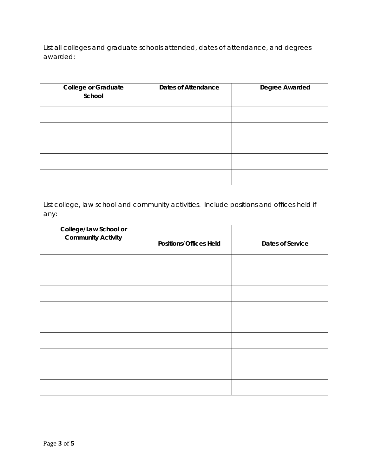List all colleges and graduate schools attended, dates of attendance, and degrees awarded:

| <b>College or Graduate</b><br>School | <b>Dates of Attendance</b> | Degree Awarded |
|--------------------------------------|----------------------------|----------------|
|                                      |                            |                |
|                                      |                            |                |
|                                      |                            |                |
|                                      |                            |                |
|                                      |                            |                |

List college, law school and community activities. Include positions and offices held if any:

| College/Law School or<br><b>Community Activity</b> | <b>Positions/Offices Held</b> | Dates of Service |
|----------------------------------------------------|-------------------------------|------------------|
|                                                    |                               |                  |
|                                                    |                               |                  |
|                                                    |                               |                  |
|                                                    |                               |                  |
|                                                    |                               |                  |
|                                                    |                               |                  |
|                                                    |                               |                  |
|                                                    |                               |                  |
|                                                    |                               |                  |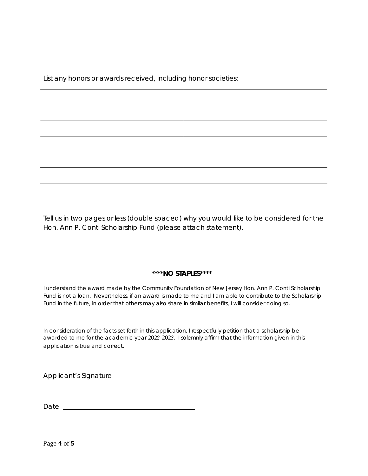List any honors or awards received, including honor societies:

Tell us in two pages or less (double spaced) why you would like to be considered for the Hon. Ann P. Conti Scholarship Fund (please attach statement).

#### **\*\*\*\*NO STAPLES\*\*\*\***

*I* understand the award made by the Community Foundation of New Jersey Hon. Ann P. Conti Scholarship *Fund is not a loan. Nevertheless, if an award is made to me and I am able to contribute to the Scholarship Fund in the future, in order that others may also share in similar benefits, I will consider doing so.* 

*In consideration of the facts set forth in this application, I respectfully petition that a scholarship be awarded to me for the academic year 2022-2023. I solemnly affirm that the information given in this application is true and correct.*

Applicant's Signature

Date experience and the contract of the contract of the contract of the contract of the contract of the contract of the contract of the contract of the contract of the contract of the contract of the contract of the contra